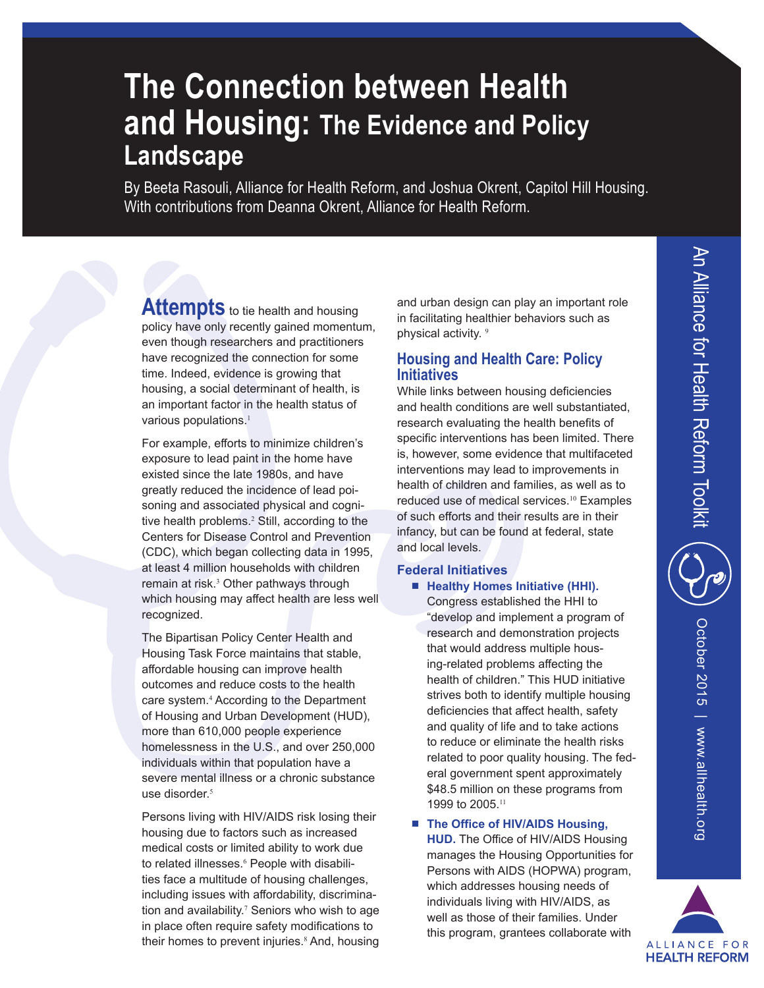# **The Connection between Health and Housing: The Evidence and Policy Landscape**

By Beeta Rasouli, Alliance for Health Reform, and Joshua Okrent, Capitol Hill Housing. With contributions from Deanna Okrent, Alliance for Health Reform.

Attempts to tie health and housing policy have only recently gained momentum, even though researchers and practitioners have recognized the connection for some time. Indeed, evidence is growing that housing, a social determinant of health, is an important factor in the health status of various populations.<sup>1</sup>

For example, efforts to minimize children's exposure to lead paint in the home have existed since the late 1980s, and have greatly reduced the incidence of lead poisoning and associated physical and cognitive health problems.<sup>2</sup> Still, according to the Centers for Disease Control and Prevention (CDC), which began collecting data in 1995, at least 4 million households with children remain at risk.<sup>3</sup> Other pathways through which housing may affect health are less well recognized.

The Bipartisan Policy Center Health and Housing Task Force maintains that stable, affordable housing can improve health outcomes and reduce costs to the health care system.<sup>4</sup> According to the Department of Housing and Urban Development (HUD), more than 610,000 people experience homelessness in the U.S., and over 250,000 individuals within that population have a severe mental illness or a chronic substance use disorder.<sup>5</sup>

Persons living with HIV/AIDS risk losing their housing due to factors such as increased medical costs or limited ability to work due to related illnesses.<sup>6</sup> People with disabilities face a multitude of housing challenges, including issues with affordability, discrimination and availability.<sup>7</sup> Seniors who wish to age in place often require safety modifications to their homes to prevent injuries.<sup>8</sup> And, housing and urban design can play an important role in facilitating healthier behaviors such as physical activity. 9

# **Housing and Health Care: Policy Initiatives**

While links between housing deficiencies and health conditions are well substantiated, research evaluating the health benefits of specific interventions has been limited. There is, however, some evidence that multifaceted interventions may lead to improvements in health of children and families, as well as to reduced use of medical services.10 Examples of such efforts and their results are in their infancy, but can be found at federal, state and local levels.

# **Federal Initiatives**

- **Healthy Homes Initiative (HHI).** Congress established the HHI to "develop and implement a program of research and demonstration projects that would address multiple housing-related problems affecting the health of children." This HUD initiative strives both to identify multiple housing deficiencies that affect health, safety and quality of life and to take actions to reduce or eliminate the health risks related to poor quality housing. The federal government spent approximately \$48.5 million on these programs from 1999 to 2005.<sup>11</sup>
- **The Office of HIV/AIDS Housing, HUD.** The Office of HIV/AIDS Housing manages the Housing Opportunities for Persons with AIDS (HOPWA) program, which addresses housing needs of individuals living with HIV/AIDS, as well as those of their families. Under this program, grantees collaborate with

October 2015 | www.allhealth.org October 2015 | www.allhealth.org

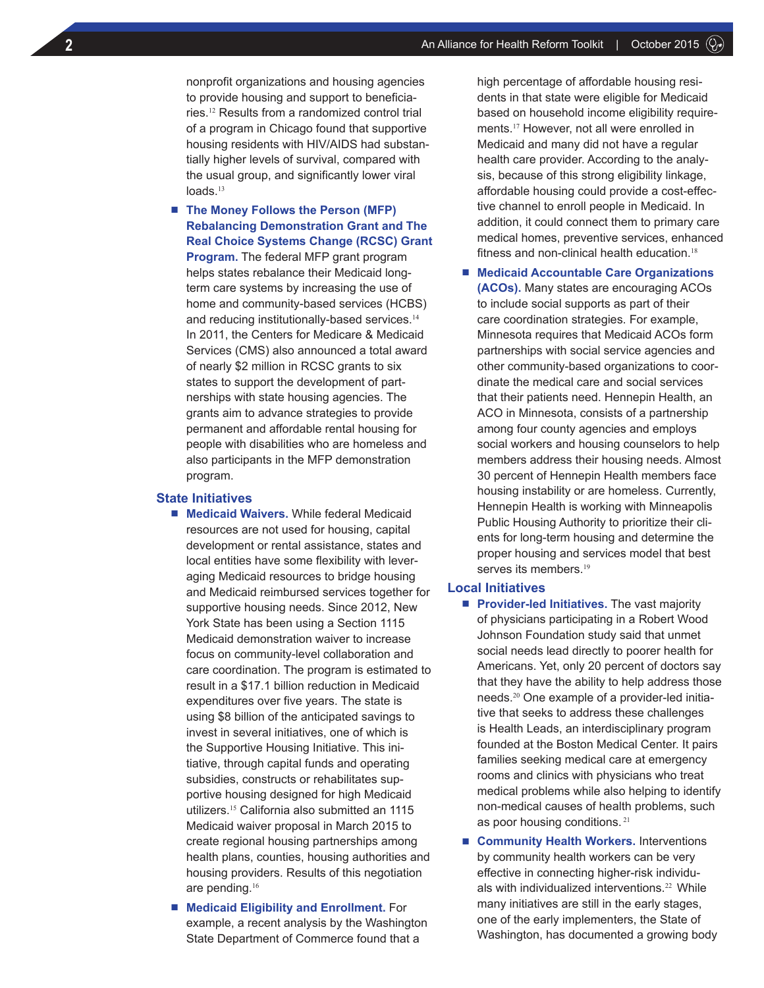nonprofit organizations and housing agencies to provide housing and support to beneficiaries.12 Results from a randomized control trial of a program in Chicago found that supportive housing residents with HIV/AIDS had substantially higher levels of survival, compared with the usual group, and significantly lower viral loads.<sup>13</sup>

■ **The Money Follows the Person (MFP) Rebalancing Demonstration Grant and The Real Choice Systems Change (RCSC) Grant Program.** The federal MFP grant program helps states rebalance their Medicaid longterm care systems by increasing the use of home and community-based services (HCBS) and reducing institutionally-based services.<sup>14</sup> In 2011, the Centers for Medicare & Medicaid Services (CMS) also announced a total award of nearly \$2 million in RCSC grants to six states to support the development of partnerships with state housing agencies. The grants aim to advance strategies to provide permanent and affordable rental housing for people with disabilities who are homeless and also participants in the MFP demonstration program.

## **State Initiatives**

- **Medicaid Waivers.** While federal Medicaid resources are not used for housing, capital development or rental assistance, states and local entities have some flexibility with leveraging Medicaid resources to bridge housing and Medicaid reimbursed services together for supportive housing needs. Since 2012, New York State has been using a Section 1115 Medicaid demonstration waiver to increase focus on community-level collaboration and care coordination. The program is estimated to result in a \$17.1 billion reduction in Medicaid expenditures over five years. The state is using \$8 billion of the anticipated savings to invest in several initiatives, one of which is the Supportive Housing Initiative. This initiative, through capital funds and operating subsidies, constructs or rehabilitates supportive housing designed for high Medicaid utilizers.15 California also submitted an 1115 Medicaid waiver proposal in March 2015 to create regional housing partnerships among health plans, counties, housing authorities and housing providers. Results of this negotiation are pending.<sup>16</sup>
- **Medicaid Eligibility and Enrollment.** For example, a recent analysis by the Washington State Department of Commerce found that a

high percentage of affordable housing residents in that state were eligible for Medicaid based on household income eligibility requirements.17 However, not all were enrolled in Medicaid and many did not have a regular health care provider. According to the analysis, because of this strong eligibility linkage, affordable housing could provide a cost-effective channel to enroll people in Medicaid. In addition, it could connect them to primary care medical homes, preventive services, enhanced fitness and non-clinical health education.<sup>18</sup>

■ **Medicaid Accountable Care Organizations (ACOs).** Many states are encouraging ACOs to include social supports as part of their care coordination strategies. For example, Minnesota requires that Medicaid ACOs form partnerships with social service agencies and other community-based organizations to coordinate the medical care and social services that their patients need. Hennepin Health, an ACO in Minnesota, consists of a partnership among four county agencies and employs social workers and housing counselors to help members address their housing needs. Almost 30 percent of Hennepin Health members face housing instability or are homeless. Currently, Hennepin Health is working with Minneapolis Public Housing Authority to prioritize their clients for long-term housing and determine the proper housing and services model that best serves its members.<sup>19</sup>

#### **Local Initiatives**

- **Provider-led Initiatives.** The vast majority of physicians participating in a Robert Wood Johnson Foundation study said that unmet social needs lead directly to poorer health for Americans. Yet, only 20 percent of doctors say that they have the ability to help address those needs.20 One example of a provider-led initiative that seeks to address these challenges is Health Leads, an interdisciplinary program founded at the Boston Medical Center. It pairs families seeking medical care at emergency rooms and clinics with physicians who treat medical problems while also helping to identify non-medical causes of health problems, such as poor housing conditions.<sup>21</sup>
- **Community Health Workers.** Interventions by community health workers can be very effective in connecting higher-risk individuals with individualized interventions.<sup>22</sup> While many initiatives are still in the early stages, one of the early implementers, the State of Washington, has documented a growing body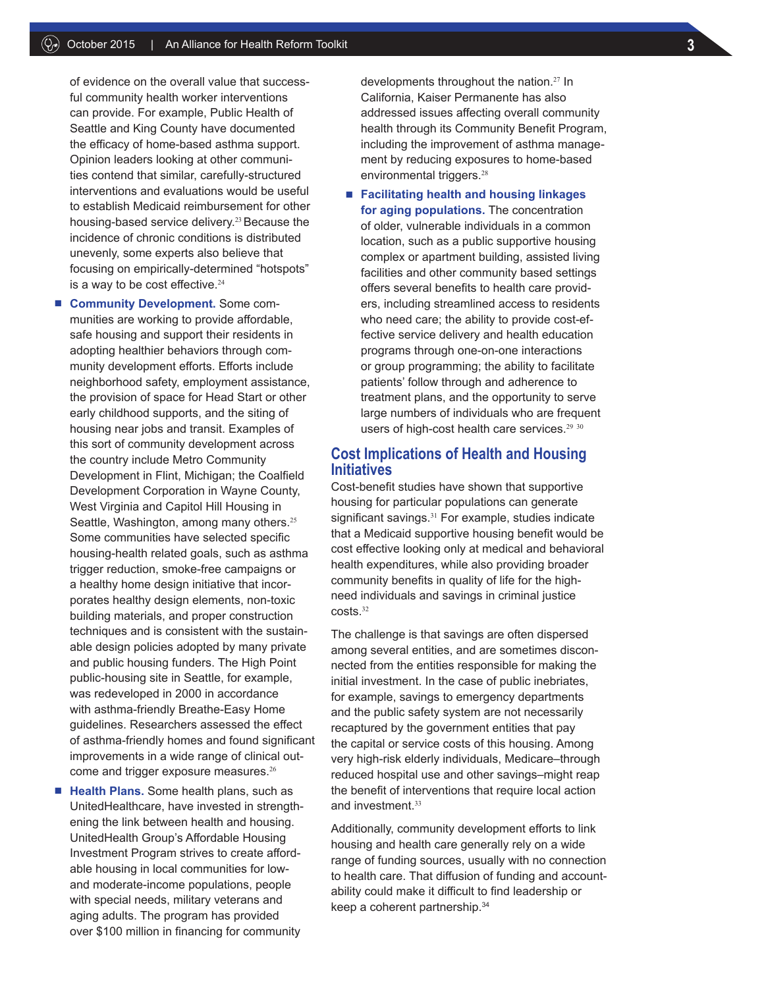of evidence on the overall value that successful community health worker interventions can provide. For example, Public Health of Seattle and King County have documented the efficacy of home-based asthma support. Opinion leaders looking at other communities contend that similar, carefully-structured interventions and evaluations would be useful to establish Medicaid reimbursement for other housing-based service delivery.23 Because the incidence of chronic conditions is distributed unevenly, some experts also believe that focusing on empirically-determined "hotspots" is a way to be cost effective. $24$ 

- **Community Development.** Some communities are working to provide affordable, safe housing and support their residents in adopting healthier behaviors through community development efforts. Efforts include neighborhood safety, employment assistance, the provision of space for Head Start or other early childhood supports, and the siting of housing near jobs and transit. Examples of this sort of community development across the country include Metro Community Development in Flint, Michigan; the Coalfield Development Corporation in Wayne County, West Virginia and Capitol Hill Housing in Seattle, Washington, among many others.<sup>25</sup> Some communities have selected specific housing-health related goals, such as asthma trigger reduction, smoke-free campaigns or a healthy home design initiative that incorporates healthy design elements, non-toxic building materials, and proper construction techniques and is consistent with the sustainable design policies adopted by many private and public housing funders. The High Point public-housing site in Seattle, for example, was redeveloped in 2000 in accordance with asthma-friendly Breathe-Easy Home guidelines. Researchers assessed the effect of asthma-friendly homes and found significant improvements in a wide range of clinical outcome and trigger exposure measures.<sup>26</sup>
- **Health Plans.** Some health plans, such as UnitedHealthcare, have invested in strengthening the link between health and housing. UnitedHealth Group's Affordable Housing Investment Program strives to create affordable housing in local communities for lowand moderate-income populations, people with special needs, military veterans and aging adults. The program has provided over \$100 million in financing for community

developments throughout the nation.<sup>27</sup> In California, Kaiser Permanente has also addressed issues affecting overall community health through its Community Benefit Program, including the improvement of asthma management by reducing exposures to home-based environmental triggers.<sup>28</sup>

■ **Facilitating health and housing linkages for aging populations.** The concentration of older, vulnerable individuals in a common location, such as a public supportive housing complex or apartment building, assisted living facilities and other community based settings offers several benefits to health care providers, including streamlined access to residents who need care; the ability to provide cost-effective service delivery and health education programs through one-on-one interactions or group programming; the ability to facilitate patients' follow through and adherence to treatment plans, and the opportunity to serve large numbers of individuals who are frequent users of high-cost health care services.<sup>29 30</sup>

# **Cost Implications of Health and Housing Initiatives**

Cost-benefit studies have shown that supportive housing for particular populations can generate significant savings.<sup>31</sup> For example, studies indicate that a Medicaid supportive housing benefit would be cost effective looking only at medical and behavioral health expenditures, while also providing broader community benefits in quality of life for the highneed individuals and savings in criminal justice costs.<sup>32</sup>

The challenge is that savings are often dispersed among several entities, and are sometimes disconnected from the entities responsible for making the initial investment. In the case of public inebriates, for example, savings to emergency departments and the public safety system are not necessarily recaptured by the government entities that pay the capital or service costs of this housing. Among very high-risk elderly individuals, Medicare–through reduced hospital use and other savings–might reap the benefit of interventions that require local action and investment.<sup>33</sup>

Additionally, community development efforts to link housing and health care generally rely on a wide range of funding sources, usually with no connection to health care. That diffusion of funding and accountability could make it difficult to find leadership or keep a coherent partnership.34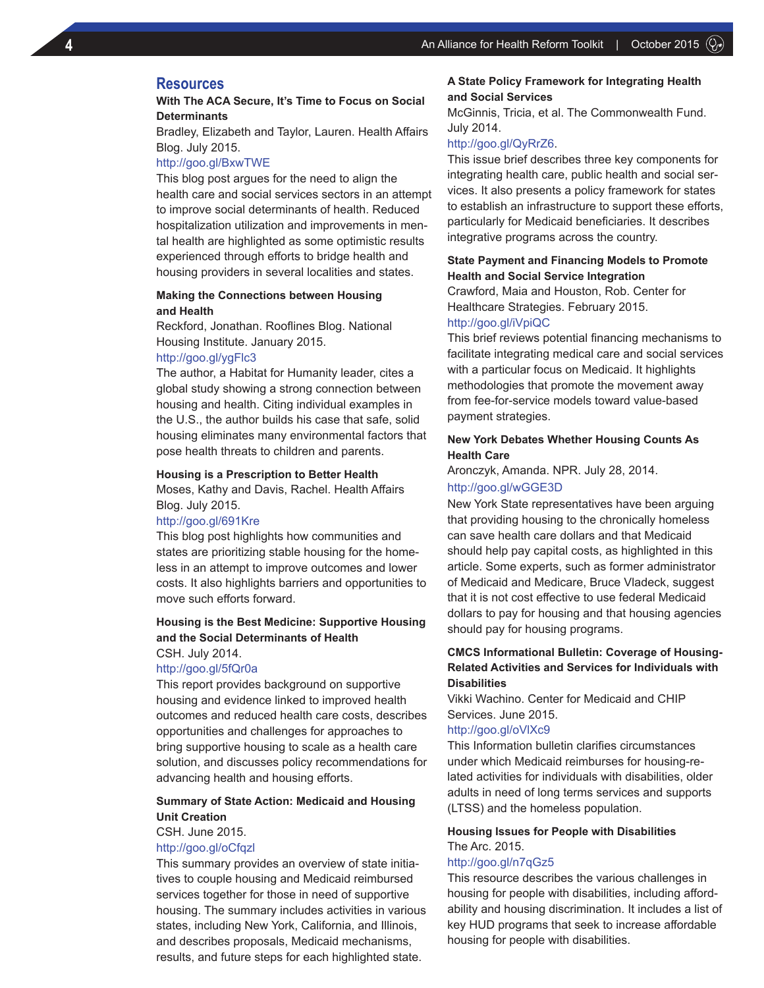# **Resources**

## **With The ACA Secure, It's Time to Focus on Social Determinants**

Bradley, Elizabeth and Taylor, Lauren. Health Affairs Blog. July 2015.

### http://goo.gl/BxwTWE

This blog post argues for the need to align the health care and social services sectors in an attempt to improve social determinants of health. Reduced hospitalization utilization and improvements in mental health are highlighted as some optimistic results experienced through efforts to bridge health and housing providers in several localities and states.

## **Making the Connections between Housing and Health**

Reckford, Jonathan. Rooflines Blog. National Housing Institute. January 2015.

#### http://goo.gl/ygFlc3

The author, a Habitat for Humanity leader, cites a global study showing a strong connection between housing and health. Citing individual examples in the U.S., the author builds his case that safe, solid housing eliminates many environmental factors that pose health threats to children and parents.

#### **Housing is a Prescription to Better Health**

Moses, Kathy and Davis, Rachel. Health Affairs Blog. July 2015.

#### http://goo.gl/691Kre

This blog post highlights how communities and states are prioritizing stable housing for the homeless in an attempt to improve outcomes and lower costs. It also highlights barriers and opportunities to move such efforts forward.

## **Housing is the Best Medicine: Supportive Housing and the Social Determinants of Health** CSH. July 2014.

#### http://goo.gl/5fQr0a

This report provides background on supportive housing and evidence linked to improved health outcomes and reduced health care costs, describes opportunities and challenges for approaches to bring supportive housing to scale as a health care solution, and discusses policy recommendations for advancing health and housing efforts.

# **Summary of State Action: Medicaid and Housing Unit Creation**

CSH. June 2015.

#### http://goo.gl/oCfqzl

This summary provides an overview of state initiatives to couple housing and Medicaid reimbursed services together for those in need of supportive housing. The summary includes activities in various states, including New York, California, and Illinois, and describes proposals, Medicaid mechanisms, results, and future steps for each highlighted state.

## **A State Policy Framework for Integrating Health and Social Services**

McGinnis, Tricia, et al. The Commonwealth Fund. July 2014.

## http://goo.gl/QyRrZ6.

This issue brief describes three key components for integrating health care, public health and social services. It also presents a policy framework for states to establish an infrastructure to support these efforts, particularly for Medicaid beneficiaries. It describes integrative programs across the country.

## **State Payment and Financing Models to Promote Health and Social Service Integration**

Crawford, Maia and Houston, Rob. Center for Healthcare Strategies. February 2015. http://goo.gl/iVpiQC

This brief reviews potential financing mechanisms to facilitate integrating medical care and social services with a particular focus on Medicaid. It highlights methodologies that promote the movement away from fee-for-service models toward value-based payment strategies.

## **New York Debates Whether Housing Counts As Health Care**

Aronczyk, Amanda. NPR. July 28, 2014.

#### http://goo.gl/wGGE3D

New York State representatives have been arguing that providing housing to the chronically homeless can save health care dollars and that Medicaid should help pay capital costs, as highlighted in this article. Some experts, such as former administrator of Medicaid and Medicare, Bruce Vladeck, suggest that it is not cost effective to use federal Medicaid dollars to pay for housing and that housing agencies should pay for housing programs.

## **CMCS Informational Bulletin: Coverage of Housing-Related Activities and Services for Individuals with Disabilities**

Vikki Wachino. Center for Medicaid and CHIP Services. June 2015.

#### http://goo.gl/oVlXc9

This Information bulletin clarifies circumstances under which Medicaid reimburses for housing-related activities for individuals with disabilities, older adults in need of long terms services and supports (LTSS) and the homeless population.

# **Housing Issues for People with Disabilities** The Arc. 2015.

## http://goo.gl/n7qGz5

This resource describes the various challenges in housing for people with disabilities, including affordability and housing discrimination. It includes a list of key HUD programs that seek to increase affordable housing for people with disabilities.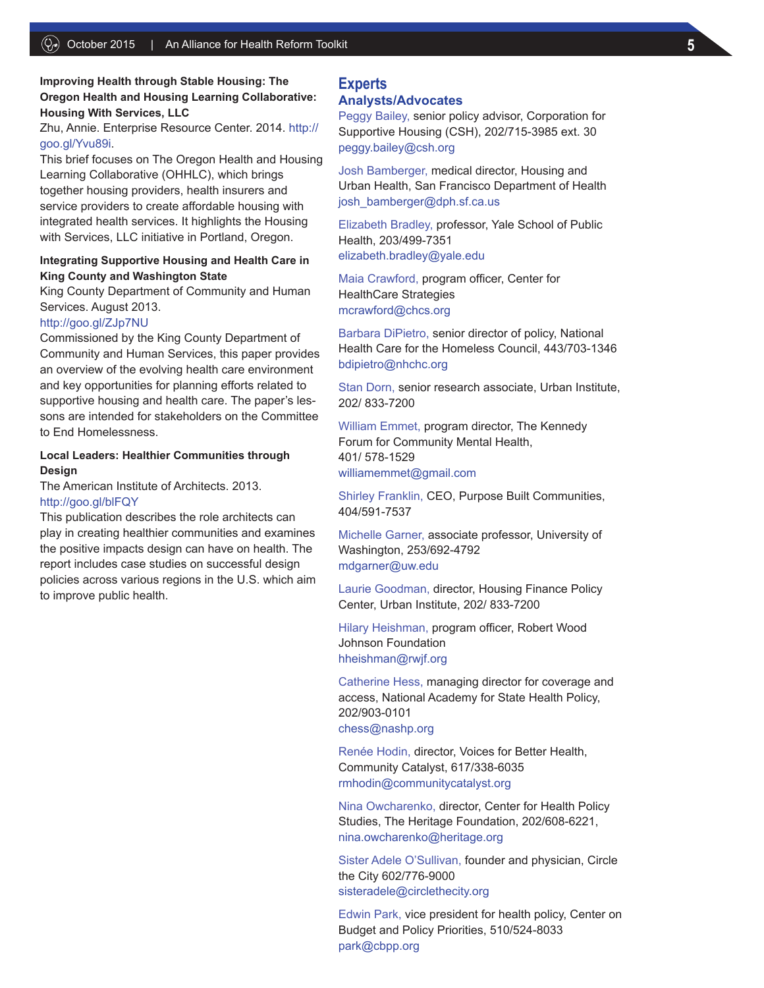# **Improving Health through Stable Housing: The Oregon Health and Housing Learning Collaborative: Housing With Services, LLC**

Zhu, Annie. Enterprise Resource Center. 2014. http:// goo.gl/Yvu89i.

This brief focuses on The Oregon Health and Housing Learning Collaborative (OHHLC), which brings together housing providers, health insurers and service providers to create affordable housing with integrated health services. It highlights the Housing with Services, LLC initiative in Portland, Oregon.

## **Integrating Supportive Housing and Health Care in King County and Washington State**

King County Department of Community and Human Services. August 2013.

http://goo.gl/ZJp7NU

Commissioned by the King County Department of Community and Human Services, this paper provides an overview of the evolving health care environment and key opportunities for planning efforts related to supportive housing and health care. The paper's lessons are intended for stakeholders on the Committee to End Homelessness.

## **Local Leaders: Healthier Communities through Design**

The American Institute of Architects. 2013. http://goo.gl/blFQY

This publication describes the role architects can play in creating healthier communities and examines the positive impacts design can have on health. The report includes case studies on successful design policies across various regions in the U.S. which aim to improve public health.

# **Experts**

## **Analysts/Advocates**

Peggy Bailey, senior policy advisor, Corporation for Supportive Housing (CSH), 202/715-3985 ext. 30 peggy.bailey@csh.org

Josh Bamberger, medical director, Housing and Urban Health, San Francisco Department of Health josh\_bamberger@dph.sf.ca.us

Elizabeth Bradley, professor, Yale School of Public Health, 203/499-7351 elizabeth.bradley@yale.edu

Maia Crawford, program officer, Center for HealthCare Strategies mcrawford@chcs.org

Barbara DiPietro, senior director of policy, National Health Care for the Homeless Council, 443/703-1346 bdipietro@nhchc.org

Stan Dorn, senior research associate, Urban Institute, 202/ 833-7200

William Emmet, program director, The Kennedy Forum for Community Mental Health, 401/ 578-1529 williamemmet@gmail.com

Shirley Franklin, CEO, Purpose Built Communities, 404/591-7537

Michelle Garner, associate professor, University of Washington, 253/692-4792 mdgarner@uw.edu

Laurie Goodman, director, Housing Finance Policy Center, Urban Institute, 202/ 833-7200

Hilary Heishman, program officer, Robert Wood Johnson Foundation hheishman@rwjf.org

Catherine Hess, managing director for coverage and access, National Academy for State Health Policy, 202/903-0101 chess@nashp.org

Renée Hodin, director, Voices for Better Health, Community Catalyst, 617/338-6035 rmhodin@communitycatalyst.org

Nina Owcharenko, director, Center for Health Policy Studies, The Heritage Foundation, 202/608-6221, nina.owcharenko@heritage.org

Sister Adele O'Sullivan, founder and physician, Circle the City 602/776-9000 sisteradele@circlethecity.org

Edwin Park, vice president for health policy, Center on Budget and Policy Priorities, 510/524-8033 park@cbpp.org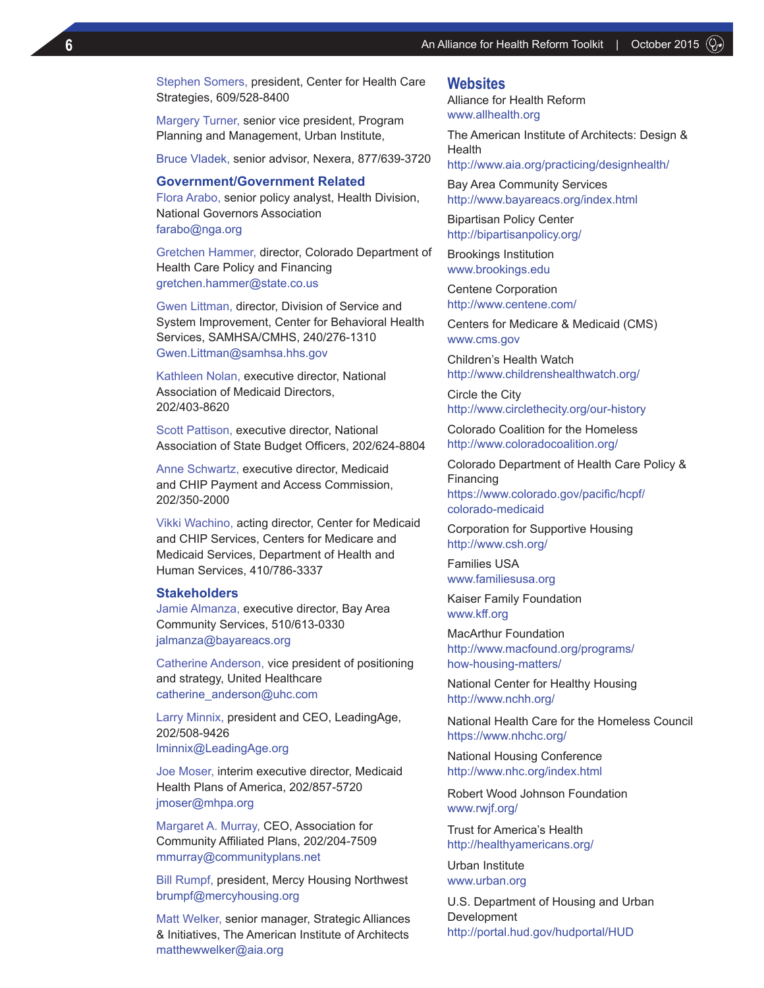Stephen Somers, president, Center for Health Care Strategies, 609/528-8400

Margery Turner, senior vice president, Program Planning and Management, Urban Institute,

Bruce Vladek, senior advisor, Nexera, 877/639-3720

#### **Government/Government Related**

Flora Arabo, senior policy analyst, Health Division, National Governors Association farabo@nga.org

Gretchen Hammer, director, Colorado Department of Health Care Policy and Financing gretchen.hammer@state.co.us

Gwen Littman, director, Division of Service and System Improvement, Center for Behavioral Health Services, SAMHSA/CMHS, 240/276-1310 Gwen.Littman@samhsa.hhs.gov

Kathleen Nolan, executive director, National Association of Medicaid Directors, 202/403-8620

Scott Pattison, executive director, National Association of State Budget Officers, 202/624-8804

Anne Schwartz, executive director, Medicaid and CHIP Payment and Access Commission, 202/350-2000

Vikki Wachino, acting director, Center for Medicaid and CHIP Services, Centers for Medicare and Medicaid Services, Department of Health and Human Services, 410/786-3337

## **Stakeholders**

Jamie Almanza, executive director, Bay Area Community Services, 510/613-0330 jalmanza@bayareacs.org

Catherine Anderson, vice president of positioning and strategy, United Healthcare catherine\_anderson@uhc.com

Larry Minnix, president and CEO, LeadingAge, 202/508-9426

lminnix@LeadingAge.org

Joe Moser, interim executive director, Medicaid Health Plans of America, 202/857-5720 jmoser@mhpa.org

Margaret A. Murray, CEO, Association for Community Affiliated Plans, 202/204-7509 mmurray@communityplans.net

Bill Rumpf, president, Mercy Housing Northwest brumpf@mercyhousing.org

Matt Welker, senior manager, Strategic Alliances & Initiatives, The American Institute of Architects matthewwelker@aia.org

## **Websites**

Alliance for Health Reform www.allhealth.org

The American Institute of Architects: Design & Health

http://www.aia.org/practicing/designhealth/

Bay Area Community Services http://www.bayareacs.org/index.html

Bipartisan Policy Center http://bipartisanpolicy.org/

Brookings Institution www.brookings.edu

Centene Corporation http://www.centene.com/

Centers for Medicare & Medicaid (CMS) www.cms.gov

Children's Health Watch http://www.childrenshealthwatch.org/

Circle the City http://www.circlethecity.org/our-history

Colorado Coalition for the Homeless http://www.coloradocoalition.org/

Colorado Department of Health Care Policy & Financing https://www.colorado.gov/pacific/hcpf/ colorado-medicaid

Corporation for Supportive Housing http://www.csh.org/

Families USA www.familiesusa.org

Kaiser Family Foundation www.kff.org

MacArthur Foundation http://www.macfound.org/programs/ how-housing-matters/

National Center for Healthy Housing http://www.nchh.org/

National Health Care for the Homeless Council https://www.nhchc.org/

National Housing Conference http://www.nhc.org/index.html

Robert Wood Johnson Foundation www.rwjf.org/

Trust for America's Health http://healthyamericans.org/

Urban Institute www.urban.org

U.S. Department of Housing and Urban Development http://portal.hud.gov/hudportal/HUD